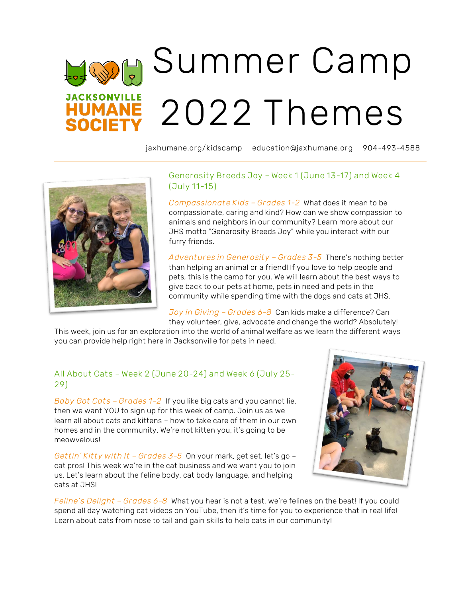# Summer Camp **JACKSONVILLE** 2022 Themes **HUMANE**

jaxhumane.org/kidscamp education@jaxhumane.org 904-493-4588



### Generosity Breeds Joy – Week 1 (June 13-17) and Week 4 (July 11-15)

*Compassionate Kids – Grades 1-2* What does it mean to be compassionate, caring and kind? How can we show compassion to animals and neighbors in our community? Learn more about our JHS motto "Generosity Breeds Joy" while you interact with our furry friends.

*Adventures in Generosity – Grades 3-5* There's nothing better than helping an animal or a friend! If you love to help people and pets, this is the camp for you. We will learn about the best ways to give back to our pets at home, pets in need and pets in the community while spending time with the dogs and cats at JHS.

*Joy in Giving – Grades 6-8* Can kids make a difference? Can they volunteer, give, advocate and change the world? Absolutely!

This week, join us for an exploration into the world of animal welfare as we learn the different ways you can provide help right here in Jacksonville for pets in need.

#### All About Cats – Week 2 (June 20-24) and Week 6 (July 25- 29)

*Baby Got Cats – Grades 1-2* If you like big cats and you cannot lie, then we want YOU to sign up for this week of camp. Join us as we learn all about cats and kittens – how to take care of them in our own homes and in the community. We're not kitten you, it's going to be meowvelous!

*Gettin' Kitty with It – Grades 3-5* On your mark, get set, let's go – cat pros! This week we're in the cat business and we want you to join us. Let's learn about the feline body, cat body language, and helping cats at JHS!



*Feline's Delight – Grades 6-8* What you hear is not a test, we're felines on the beat! If you could spend all day watching cat videos on YouTube, then it's time for you to experience that in real life! Learn about cats from nose to tail and gain skills to help cats in our community!